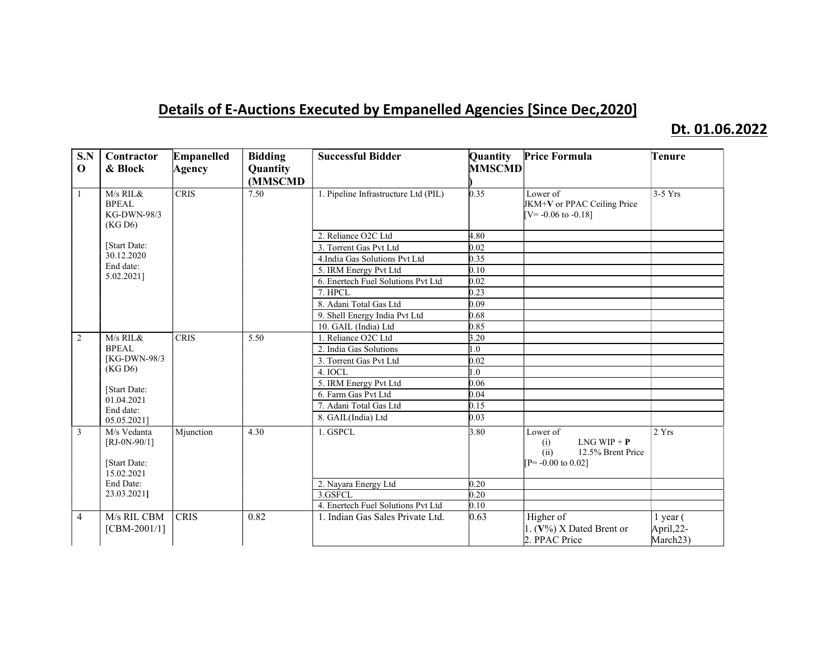## Details of E-Auctions Executed by Empanelled Agencies [Since Dec,2020]

## Dt. 01.06.2022

| S.N<br>$\mathbf 0$ | Contractor<br>& Block                                                                   | Empanelled<br>Agency | <b>Bidding</b><br>Quantity<br>(MMSCMD | <b>Successful Bidder</b>             | Quantity<br><b>MMSCMD</b> | <b>Price Formula</b>                                                                   | Tenure                                             |
|--------------------|-----------------------------------------------------------------------------------------|----------------------|---------------------------------------|--------------------------------------|---------------------------|----------------------------------------------------------------------------------------|----------------------------------------------------|
| 1                  | M/s RIL&<br><b>BPEAL</b><br>KG-DWN-98/3<br>(KG D6)                                      | <b>CRIS</b>          | 7.50                                  | 1. Pipeline Infrastructure Ltd (PIL) | 0.35                      | Lower of<br>JKM+V or PPAC Ceiling Price<br>$[V = -0.06 \text{ to } -0.18]$             | $3-5$ Yrs                                          |
|                    |                                                                                         |                      |                                       | 2. Reliance O2C Ltd                  | 4.80                      |                                                                                        |                                                    |
|                    | [Start Date:<br>30.12.2020                                                              |                      |                                       | 3. Torrent Gas Pvt Ltd               | 0.02                      |                                                                                        |                                                    |
|                    |                                                                                         |                      |                                       | 4.India Gas Solutions Pvt Ltd        | 0.35                      |                                                                                        |                                                    |
|                    | End date:                                                                               |                      |                                       | 5. IRM Energy Pvt Ltd                | 0.10                      |                                                                                        |                                                    |
|                    | 5.02.2021]                                                                              |                      |                                       | 6. Enertech Fuel Solutions Pvt Ltd   | 0.02                      |                                                                                        |                                                    |
|                    |                                                                                         |                      |                                       | 7. HPCL                              | 0.23                      |                                                                                        |                                                    |
|                    |                                                                                         |                      |                                       | 8. Adani Total Gas Ltd               | 0.09                      |                                                                                        |                                                    |
|                    |                                                                                         |                      |                                       | 9. Shell Energy India Pvt Ltd        | 0.68                      |                                                                                        |                                                    |
|                    |                                                                                         |                      |                                       | 10. GAIL (India) Ltd                 | 0.85                      |                                                                                        |                                                    |
| $\overline{2}$     | $M/s$ RIL &                                                                             | <b>CRIS</b>          | 5.50                                  | 1. Reliance O2C Ltd                  | 3.20                      |                                                                                        |                                                    |
|                    | <b>BPEAL</b>                                                                            |                      |                                       | 2. India Gas Solutions               | $\overline{1.0}$          |                                                                                        |                                                    |
|                    | [KG-DWN-98/3]<br>(KG D6)<br>[Start Date:<br>01.04.2021<br>End date:                     |                      |                                       | 3. Torrent Gas Pvt Ltd               | 0.02                      |                                                                                        |                                                    |
|                    |                                                                                         |                      |                                       | 4. IOCL                              | 0.1                       |                                                                                        |                                                    |
|                    |                                                                                         |                      |                                       | 5. IRM Energy Pvt Ltd                | 0.06                      |                                                                                        |                                                    |
|                    |                                                                                         |                      |                                       | 6. Farm Gas Pvt Ltd                  | 0.04                      |                                                                                        |                                                    |
|                    |                                                                                         |                      |                                       | 7. Adani Total Gas Ltd               | 0.15                      |                                                                                        |                                                    |
|                    | 05.05.2021]                                                                             |                      |                                       | 8. GAIL(India) Ltd                   | 0.03                      |                                                                                        |                                                    |
| $\overline{3}$     | M/s Vedanta<br>$[RJ-0N-90/1]$<br>[Start Date:<br>15.02.2021<br>End Date:<br>23.03.2021] | Mjunction            | 4.30                                  | 1. GSPCL                             | 3.80                      | Lower of<br>$LNG WIP + P$<br>(i)<br>12.5% Brent Price<br>(ii)<br>$IP = -0.00$ to 0.021 | 2 Yrs                                              |
|                    |                                                                                         |                      |                                       | 2. Nayara Energy Ltd                 | 0.20                      |                                                                                        |                                                    |
|                    |                                                                                         |                      |                                       | 3.GSFCL                              | 0.20                      |                                                                                        |                                                    |
|                    |                                                                                         |                      |                                       | 4. Enertech Fuel Solutions Pvt Ltd   | 0.10                      |                                                                                        |                                                    |
| $\overline{4}$     | M/s RIL CBM<br>$[CBM-2001/1]$                                                           | <b>CRIS</b>          | 0.82                                  | 1. Indian Gas Sales Private Ltd.     | 0.63                      | Higher of<br>1. $(V\%)$ X Dated Brent or<br>2. PPAC Price                              | $1$ year $($<br>April,22-<br>March <sub>23</sub> ) |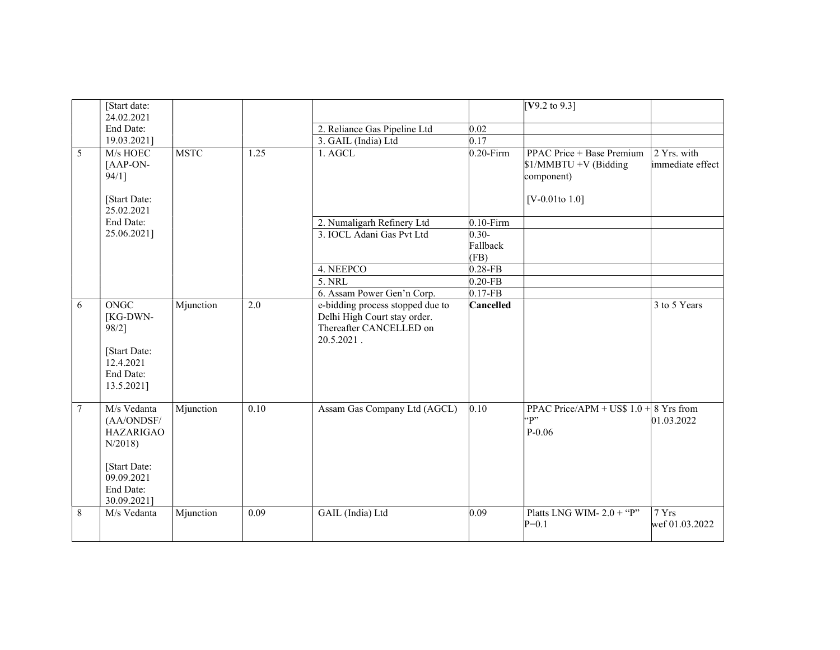|             | [Start date:<br>24.02.2021                                                                                        |             |      |                                                                                                           |              | $[V9.2 \text{ to } 9.3]$                                                               |                                 |
|-------------|-------------------------------------------------------------------------------------------------------------------|-------------|------|-----------------------------------------------------------------------------------------------------------|--------------|----------------------------------------------------------------------------------------|---------------------------------|
|             | End Date:                                                                                                         |             |      | 2. Reliance Gas Pipeline Ltd                                                                              | 0.02         |                                                                                        |                                 |
|             | 19.03.2021]                                                                                                       |             |      | 3. GAIL (India) Ltd                                                                                       | 0.17         |                                                                                        |                                 |
| 5           | M/s HOEC<br>[AAP-ON-<br>94/11<br>[Start Date:                                                                     | <b>MSTC</b> | 1.25 | 1. AGCL                                                                                                   | $0.20$ -Firm | PPAC Price + Base Premium<br>\$1/MMBTU +V (Bidding<br>component)<br>[ $V-0.01$ to 1.0] | 2 Yrs. with<br>immediate effect |
|             | 25.02.2021                                                                                                        |             |      |                                                                                                           |              |                                                                                        |                                 |
|             | End Date:                                                                                                         |             |      | 2. Numaligarh Refinery Ltd                                                                                | $0.10$ -Firm |                                                                                        |                                 |
|             | 25.06.2021]                                                                                                       |             |      | 3. IOCL Adani Gas Pvt Ltd                                                                                 | $0.30 -$     |                                                                                        |                                 |
|             |                                                                                                                   |             |      |                                                                                                           | Fallback     |                                                                                        |                                 |
|             |                                                                                                                   |             |      |                                                                                                           | (FB)         |                                                                                        |                                 |
|             |                                                                                                                   |             |      | 4. NEEPCO                                                                                                 | $0.28-FB$    |                                                                                        |                                 |
|             |                                                                                                                   |             |      | 5. NRL                                                                                                    | $0.20-FB$    |                                                                                        |                                 |
|             |                                                                                                                   |             |      | 6. Assam Power Gen'n Corp.                                                                                | $0.17-FB$    |                                                                                        |                                 |
| 6           | <b>ONGC</b><br>[KG-DWN-<br>98/2]<br>[Start Date:<br>12.4.2021<br>End Date:<br>13.5.2021]                          | Mjunction   | 2.0  | e-bidding process stopped due to<br>Delhi High Court stay order.<br>Thereafter CANCELLED on<br>20.5.2021. | Cancelled    |                                                                                        | 3 to 5 Years                    |
| $7^{\circ}$ | M/s Vedanta<br>(AA/ONDSF/<br><b>HAZARIGAO</b><br>N/2018<br>[Start Date:<br>09.09.2021<br>End Date:<br>30.09.2021] | Mjunction   | 0.10 | Assam Gas Company Ltd (AGCL)                                                                              | 0.10         | PPAC Price/APM + US\$ 1.0 + $8$ Yrs from<br>$\mathbf{q}$<br>$P - 0.06$                 | 01.03.2022                      |
| 8           | M/s Vedanta                                                                                                       | Mjunction   | 0.09 | GAIL (India) Ltd                                                                                          | 0.09         | Platts LNG WIM- $2.0 +$ "P"<br>$P=0.1$                                                 | 7 Yrs<br>wef 01.03.2022         |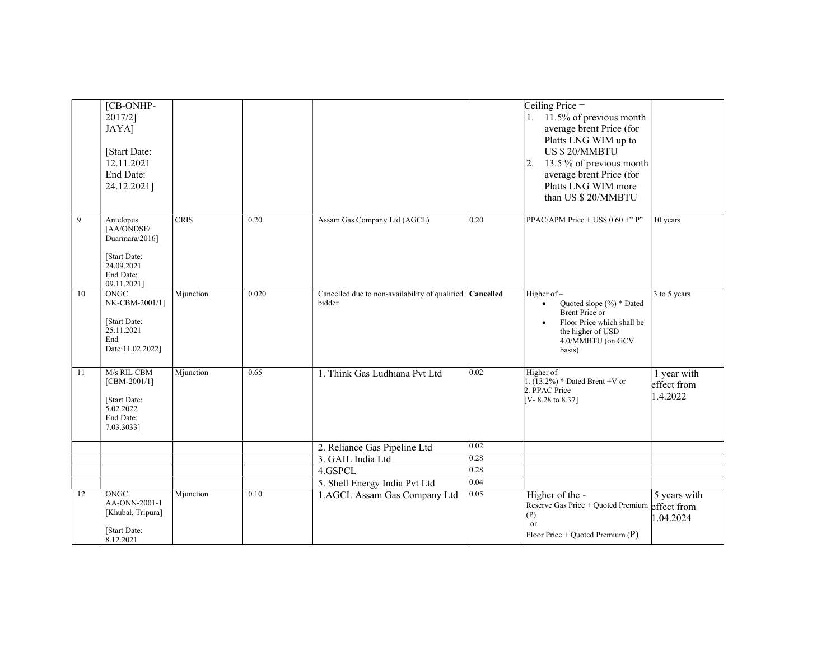|    | [CB-ONHP-<br>2017/2]<br>JAYA]<br>[Start Date:<br>12.11.2021<br>End Date:<br>24.12.2021]             |           |       |                                                                    |      | Ceiling Price $=$<br>1. $11.5\%$ of previous month<br>average brent Price (for<br>Platts LNG WIM up to<br>US \$20/MMBTU<br>13.5 % of previous month<br> 2.<br>average brent Price (for<br>Platts LNG WIM more<br>than US \$ 20/MMBTU |                                        |
|----|-----------------------------------------------------------------------------------------------------|-----------|-------|--------------------------------------------------------------------|------|--------------------------------------------------------------------------------------------------------------------------------------------------------------------------------------------------------------------------------------|----------------------------------------|
| 9  | Antelopus<br>[AA/ONDSF/<br>Duarmara/2016]<br>[Start Date:<br>24.09.2021<br>End Date:<br>09.11.2021] | CRIS      | 0.20  | Assam Gas Company Ltd (AGCL)                                       | 0.20 | PPAC/APM Price + US\$ $0.60 +$ " P"                                                                                                                                                                                                  | $\overline{10}$ years                  |
| 10 | ONGC<br>NK-CBM-2001/1]<br>[Start Date:<br>25.11.2021<br>End<br>Date:11.02.2022]                     | Mjunction | 0.020 | Cancelled due to non-availability of qualified Cancelled<br>bidder |      | Higher of $-$<br>Quoted slope (%) * Dated<br>$\bullet$<br><b>Brent Price or</b><br>Floor Price which shall be<br>the higher of USD<br>4.0/MMBTU (on GCV<br>basis)                                                                    | 3 to 5 years                           |
| 11 | M/s RIL CBM<br>$[CBM-2001/1]$<br>[Start Date:<br>5.02.2022<br>End Date:<br>7.03.3033]               | Mjunction | 0.65  | 1. Think Gas Ludhiana Pvt Ltd                                      | 0.02 | Higher of<br>1. $(13.2\%)$ * Dated Brent +V or<br>2. PPAC Price<br>$[V - 8.28]$ to 8.37]                                                                                                                                             | 1 year with<br>effect from<br>1.4.2022 |
|    |                                                                                                     |           |       | 2. Reliance Gas Pipeline Ltd                                       | 0.02 |                                                                                                                                                                                                                                      |                                        |
|    |                                                                                                     |           |       | 3. GAIL India Ltd                                                  | 0.28 |                                                                                                                                                                                                                                      |                                        |
|    |                                                                                                     |           |       | 4.GSPCL                                                            | 0.28 |                                                                                                                                                                                                                                      |                                        |
|    |                                                                                                     |           |       | 5. Shell Energy India Pvt Ltd                                      | 0.04 |                                                                                                                                                                                                                                      |                                        |
| 12 | ONGC<br>AA-ONN-2001-1<br>[Khubal, Tripura]<br>[Start Date:<br>8.12.2021                             | Mjunction | 0.10  | 1.AGCL Assam Gas Company Ltd                                       | 0.05 | Higher of the -<br>Reserve Gas Price + Quoted Premium effect from<br>(P)<br><sub>or</sub><br>Floor Price + Quoted Premium $(P)$                                                                                                      | 5 years with<br>1.04.2024              |